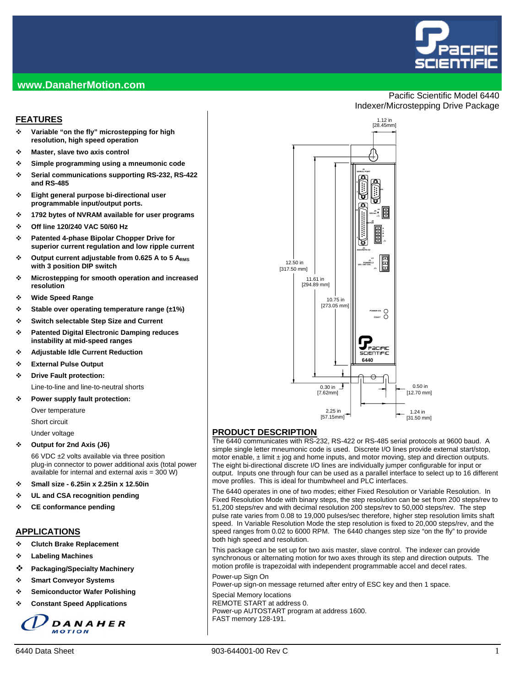

Pacific Scientific Model 6440

Indexer/Microstepping Drive Package

#### **www.DanaherMotion.com**

#### **FEATURES**

- **Variable "on the fly" microstepping for high resolution, high speed operation**
- **Master, slave two axis control**
- **Simple programming using a mneumonic code**
- **Serial communications supporting RS-232, RS-422 and RS-485**
- **Eight general purpose bi-directional user programmable input/output ports.**
- **1792 bytes of NVRAM available for user programs**
- **Off line 120/240 VAC 50/60 Hz**
- **Patented 4-phase Bipolar Chopper Drive for superior current regulation and low ripple current**
- **Output current adjustable from 0.625 A to 5 ARMS with 3 position DIP switch**
- **Microstepping for smooth operation and increased resolution**
- **Wide Speed Range**
- **Stable over operating temperature range (±1%)**
- **Switch selectable Step Size and Current**
- **Patented Digital Electronic Damping reduces instability at mid-speed ranges**
- **Adjustable Idle Current Reduction**
- **External Pulse Output**
- **Drive Fault protection:**

Line-to-line and line-to-neutral shorts

#### **Power supply fault protection:**

Over temperature Short circuit

Under voltage

**Output for 2nd Axis (J6)** 

66 VDC ±2 volts available via three position plug-in connector to power additional axis (total power available for internal and external axis = 300 W)

- **Small size 6.25in x 2.25in x 12.50in**
- **UL and CSA recognition pending**
- **CE conformance pending**

#### **APPLICATIONS**

- **Clutch Brake Replacement**
- **Labeling Machines**
- **Packaging/Specialty Machinery**
- **Smart Conveyor Systems**
- **Semiconductor Wafer Polishing**
- **Constant Speed Applications**





#### **PRODUCT DESCRIPTION**

The 6440 communicates with RS-232, RS-422 or RS-485 serial protocols at 9600 baud. A simple single letter mneumonic code is used. Discrete I/O lines provide external start/stop, motor enable,  $\pm$  limit  $\pm$  jog and home inputs, and motor moving, step and direction outputs. The eight bi-directional discrete I/O lines are individually jumper configurable for input or output. Inputs one through four can be used as a parallel interface to select up to 16 different move profiles. This is ideal for thumbwheel and PLC interfaces.

The 6440 operates in one of two modes; either Fixed Resolution or Variable Resolution. In Fixed Resolution Mode with binary steps, the step resolution can be set from 200 steps/rev to 51,200 steps/rev and with decimal resolution 200 steps/rev to 50,000 steps/rev. The step pulse rate varies from 0.08 to 19,000 pulses/sec therefore, higher step resolution limits shaft speed. In Variable Resolution Mode the step resolution is fixed to 20,000 steps/rev, and the speed ranges from 0.02 to 6000 RPM. The 6440 changes step size "on the fly" to provide both high speed and resolution.

This package can be set up for two axis master, slave control. The indexer can provide synchronous or alternating motion for two axes through its step and direction outputs. The motion profile is trapezoidal with independent programmable accel and decel rates.

Power-up Sign On

Power-up sign-on message returned after entry of ESC key and then 1 space.

Special Memory locations REMOTE START at address 0. Power-up AUTOSTART program at address 1600. FAST memory 128-191.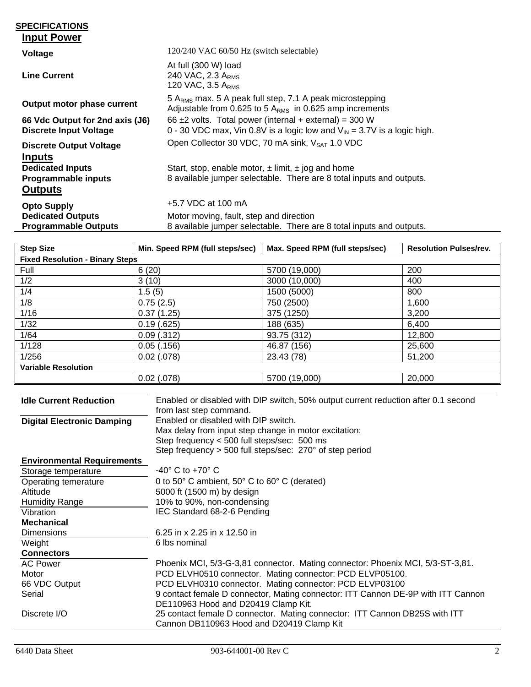#### **SPECIFICATIONS Input Power**

| Voltage                                                                           | 120/240 VAC 60/50 Hz (switch selectable)                                                                                                           |
|-----------------------------------------------------------------------------------|----------------------------------------------------------------------------------------------------------------------------------------------------|
| <b>Line Current</b>                                                               | At full (300 W) load<br>240 VAC, 2.3 ARMS<br>120 VAC, $3.5 A_{RMS}$                                                                                |
| Output motor phase current                                                        | 5 A <sub>RMS</sub> max. 5 A peak full step, 7.1 A peak microstepping<br>Adjustable from 0.625 to 5 $ARMS$ in 0.625 amp increments                  |
| 66 Vdc Output for 2nd axis (J6)<br><b>Discrete Input Voltage</b>                  | 66 $\pm$ 2 volts. Total power (internal + external) = 300 W<br>0 - 30 VDC max, Vin 0.8V is a logic low and $V_{\text{IN}}$ = 3.7V is a logic high. |
| <b>Discrete Output Voltage</b>                                                    | Open Collector 30 VDC, 70 mA sink, V <sub>SAT</sub> 1.0 VDC                                                                                        |
| <b>Inputs</b><br><b>Dedicated Inputs</b><br>Programmable inputs<br><b>Outputs</b> | Start, stop, enable motor, $\pm$ limit, $\pm$ jog and home<br>8 available jumper selectable. There are 8 total inputs and outputs.                 |
| <b>Opto Supply</b>                                                                | +5.7 VDC at 100 mA                                                                                                                                 |
| <b>Dedicated Outputs</b><br><b>Programmable Outputs</b>                           | Motor moving, fault, step and direction<br>8 available jumper selectable. There are 8 total inputs and outputs.                                    |

| <b>Step Size</b>                       | Min. Speed RPM (full steps/sec) | Max. Speed RPM (full steps/sec) | <b>Resolution Pulses/rev.</b> |
|----------------------------------------|---------------------------------|---------------------------------|-------------------------------|
| <b>Fixed Resolution - Binary Steps</b> |                                 |                                 |                               |
| Full                                   | 6(20)                           | 5700 (19,000)                   | 200                           |
| 1/2                                    | 3(10)                           | 3000 (10,000)                   | 400                           |
| 1/4                                    | 1.5(5)                          | 1500 (5000)                     | 800                           |
| 1/8                                    | 0.75(2.5)                       | 750 (2500)                      | 1,600                         |
| 1/16                                   | 0.37(1.25)                      | 375 (1250)                      | 3,200                         |
| 1/32                                   | 0.19(.625)                      | 188 (635)                       | 6,400                         |
| 1/64                                   | $0.09$ $(.312)$                 | 93.75 (312)                     | 12,800                        |
| 1/128                                  | 0.05(0.156)                     | 46.87 (156)                     | 25,600                        |
| 1/256                                  | $0.02$ (.078)                   | 23.43 (78)                      | 51,200                        |
| <b>Variable Resolution</b>             |                                 |                                 |                               |
|                                        | $0.02$ (.078)                   | 5700 (19,000)                   | 20,000                        |

| <b>Idle Current Reduction</b>     | Enabled or disabled with DIP switch, 50% output current reduction after 0.1 second<br>from last step command. |
|-----------------------------------|---------------------------------------------------------------------------------------------------------------|
| <b>Digital Electronic Damping</b> | Enabled or disabled with DIP switch.                                                                          |
|                                   | Max delay from input step change in motor excitation:                                                         |
|                                   | Step frequency < 500 full steps/sec: 500 ms                                                                   |
|                                   | Step frequency $>$ 500 full steps/sec: 270 $^{\circ}$ of step period                                          |
| <b>Environmental Requirements</b> |                                                                                                               |
| Storage temperature               | $-40^\circ$ C to $+70^\circ$ C                                                                                |
| Operating temerature              | 0 to 50° C ambient, 50° C to 60° C (derated)                                                                  |
| Altitude                          | 5000 ft (1500 m) by design                                                                                    |
| <b>Humidity Range</b>             | 10% to 90%, non-condensing                                                                                    |
| Vibration                         | IEC Standard 68-2-6 Pending                                                                                   |
| <b>Mechanical</b>                 |                                                                                                               |
| <b>Dimensions</b>                 | 6.25 in x 2.25 in x 12.50 in                                                                                  |
| Weight                            | 6 lbs nominal                                                                                                 |
| <b>Connectors</b>                 |                                                                                                               |
| <b>AC Power</b>                   | Phoenix MCI, 5/3-G-3,81 connector. Mating connector: Phoenix MCI, 5/3-ST-3,81.                                |
| Motor                             | PCD ELVH0510 connector. Mating connector: PCD ELVP05100.                                                      |
| 66 VDC Output                     | PCD ELVH0310 connector. Mating connector: PCD ELVP03100                                                       |
| Serial                            | 9 contact female D connector, Mating connector: ITT Cannon DE-9P with ITT Cannon                              |
|                                   | DE110963 Hood and D20419 Clamp Kit.                                                                           |
| Discrete I/O                      | 25 contact female D connector. Mating connector: ITT Cannon DB25S with ITT                                    |
|                                   | Cannon DB110963 Hood and D20419 Clamp Kit                                                                     |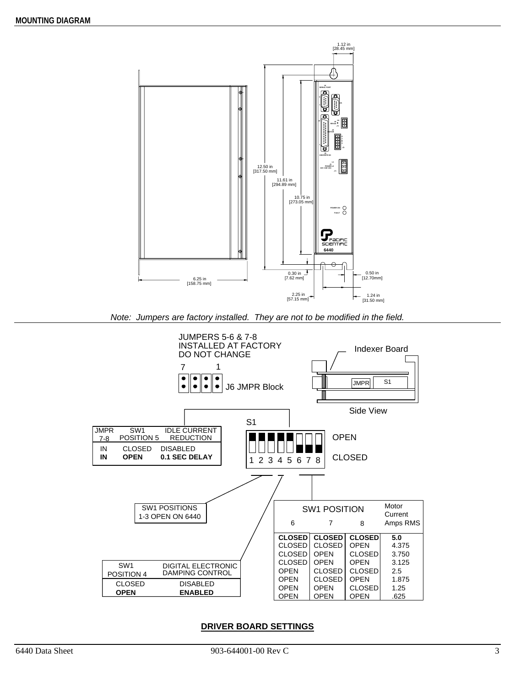

*Note: Jumpers are factory installed. They are not to be modified in the field.* 



#### **DRIVER BOARD SETTINGS**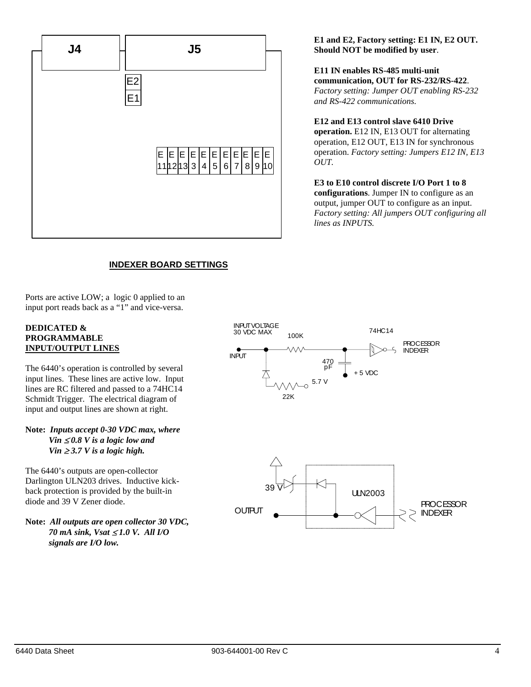

**E1 and E2, Factory setting: E1 IN, E2 OUT. Should NOT be modified by user**.

**E11 IN enables RS-485 multi-unit communication, OUT for RS-232/RS-422**. *Factory setting: Jumper OUT enabling RS-232 and RS-422 communications.*

**E12 and E13 control slave 6410 Drive operation.** E12 IN, E13 OUT for alternating operation, E12 OUT, E13 IN for synchronous operation. *Factory setting: Jumpers E12 IN, E13 OUT.* 

**E3 to E10 control discrete I/O Port 1 to 8 configurations**. Jumper IN to configure as an output, jumper OUT to configure as an input. *Factory setting: All jumpers OUT configuring all lines as INPUTS.*

# **INDEXER BOARD SETTINGS**

Ports are active LOW; a logic 0 applied to an input port reads back as a "1" and vice-versa.

#### **DEDICATED & PROGRAMMABLE INPUT/OUTPUT LINES**

The 6440's operation is controlled by several input lines. These lines are active low. Input lines are RC filtered and passed to a 74HC14 Schmidt Trigger. The electrical diagram of input and output lines are shown at right.

#### **Note:** *Inputs accept 0-30 VDC max, where Vin*  $\leq 0.8$  *V* is a logic low and *Vin*  $\geq$  3.7 *V is a logic high.*

The 6440's outputs are open-collector Darlington ULN203 drives. Inductive kickback protection is provided by the built-in diode and 39 V Zener diode.

**Note:** *All outputs are open collector 30 VDC, 70 mA sink, Vsat* <sup>≤</sup> *1.0 V. All I/O signals are I/O low.*



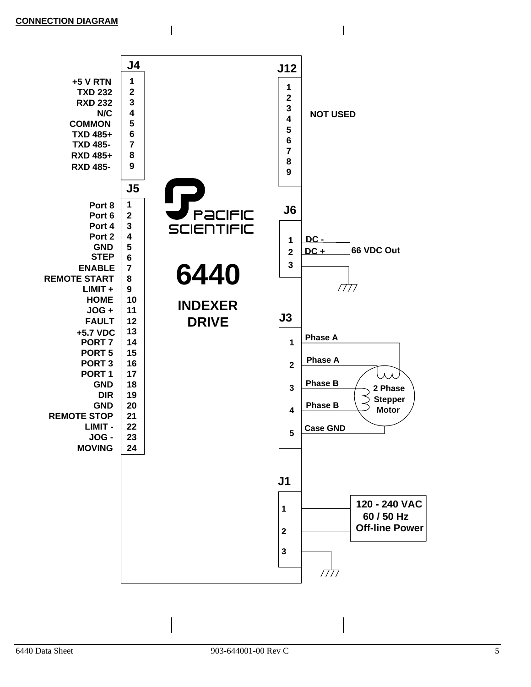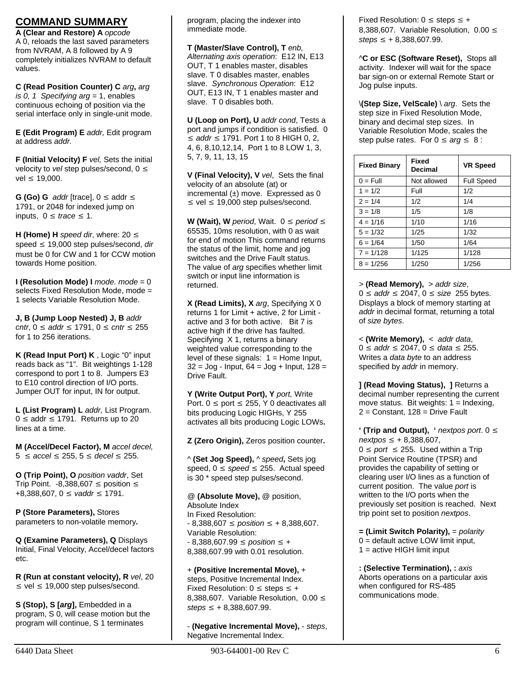### **COMMAND SUMMARY**

**A (Clear and Restore) A** *opcode* A 0, reloads the last saved parameters from NVRAM, A 8 followed by A 9 completely initializes NVRAM to default values.

**C (Read Position Counter) C** *arg***,** *arg is 0, 1 Specifying arg* = 1, enables continuous echoing of position via the serial interface only in single-unit mode.

**E (Edit Program) E** *addr,* Edit program at address *addr.*

**F (Initial Velocity) F** *vel,* Sets the initial velocity to *vel* step pulses/second, 0 ≤  $vel ≤ 19.000.$ 

**G (Go) G**  $\alpha$ *ddr* [trace],  $0 \leq \alpha$ ddr  $\leq$ 1791, or 2048 for indexed jump on inputs,  $0 \leq \text{trace} \leq 1$ .

**H (Home) H** *speed dir*, where: 20 ≤ speed ≤ 19,000 step pulses/second, *dir*  must be 0 for CW and 1 for CCW motion towards Home position.

**I (Resolution Mode) I** *mode. mode* = 0 selects Fixed Resolution Mode, mode = 1 selects Variable Resolution Mode.

**J, B (Jump Loop Nested) J, B** *addr cntr*, 0 ≤ *addr* ≤ 1791, 0 ≤ *cntr* ≤ 255 for 1 to 256 iterations.

**K (Read Input Port) K** , Logic "0" input reads back as "1". Bit weightings 1-128 correspond to port 1 to 8. Jumpers E3 to E10 control direction of I/O ports. Jumper OUT for input, IN for output.

**L (List Program) L** *addr,* List Program.  $0 \leq$  addr  $\leq$  1791. Returns up to 20 lines at a time.

**M (Accel/Decel Factor), M** *accel decel,*  5 ≤ *accel* ≤ 255, 5 ≤ *decel* ≤ 255.

**O (Trip Point), O** *position vaddr*, Set Trip Point.  $-8,388,607 \le$  position  $\le$ +8,388,607, 0 ≤ *vaddr* ≤ 1791.

**P (Store Parameters),** Stores parameters to non-volatile memory**.** 

**Q (Examine Parameters), Q** Displays Initial, Final Velocity, Accel/decel factors etc.

**R (Run at constant velocity), R** *vel*, 20  $\leq$  vel  $\leq$  19,000 step pulses/second.

**S (Stop), S [***arg***],** Embedded in a program, S 0, will cease motion but the program will continue, S 1 terminates

program, placing the indexer into immediate mode.

**T (Master/Slave Control), T** *enb, Alternating axis operation*: E12 IN, E13 OUT, T 1 enables master, disables slave. T 0 disables master, enables slave. *Synchronous Operation*: E12 OUT, E13 IN, T 1 enables master and slave. T 0 disables both.

**U (Loop on Port), U** *addr cond*, Tests a port and jumps if condition is satisfied. 0 ≤ *addr* ≤ 1791. Port 1 to 8 HIGH 0, 2, 4, 6, 8,10,12,14, Port 1 to 8 LOW 1, 3, 5, 7, 9, 11, 13, 15

**V (Final Velocity), V** *vel*, Sets the final velocity of an absolute (at) or incremental  $(\pm)$  move. Expressed as 0  $\leq$  vel  $\leq$  19,000 step pulses/second.

**W** (Wait), W *period*, Wait. 0 ≤ *period* ≤ 65535, 10ms resolution, with 0 as wait for end of motion This command returns the status of the limit, home and jog switches and the Drive Fault status. The value of *arg* specifies whether limit switch or input line information is returned.

**X (Read Limits), X** *arg*, Specifying X 0 returns 1 for Limit + active, 2 for Limit active and 3 for both active. Bit 7 is active high if the drive has faulted. Specifying X 1, returns a binary weighted value corresponding to the level of these signals:  $1 =$  Home Input,  $32 =$  Jog - Input,  $64 =$  Jog + Input,  $128 =$ Drive Fault.

**Y (Write Output Port), Y** *port,* Write Port.  $0 \leq$  port  $\leq$  255, Y 0 deactivates all bits producing Logic HIGHs, Y 255 activates all bits producing Logic LOWs**.** 

**Z (Zero Origin),** Zeros position counter**.** 

^ **(Set Jog Speed),** ^ *speed***,** Sets jog speed,  $0 \leq speed \leq 255$ . Actual speed is 30 \* speed step pulses/second.

@ **(Absolute Move),** @ position, Absolute Index In Fixed Resolution: - 8,388,607 ≤ *position* ≤ + 8,388,607. Variable Resolution: - 8,388,607.99 ≤ *position* ≤ + 8,388,607.99 with 0.01 resolution.

+ **(Positive Incremental Move),** + steps, Positive Incremental Index. Fixed Resolution:  $0 \leq$  steps  $\leq +$ 8,388,607. Variable Resolution, 0.00 ≤ *steps* ≤ + 8,388,607.99.

- **(Negative Incremental Move),** - *steps*, Negative Incremental Index.

Fixed Resolution:  $0 \leq$  steps  $\leq +$ 8,388,607. Variable Resolution, 0.00 ≤ *steps* ≤ + 8,388,607.99.

^**C or ESC (Software Reset),** Stops all activity. Indexer will wait for the space bar sign-on or external Remote Start or Jog pulse inputs.

\**(Step Size, VelScale)** \ *arg*. Sets the step size in Fixed Resolution Mode, binary and decimal step sizes. In Variable Resolution Mode, scales the step pulse rates. For  $0 \leq arg \leq 8$ :

| <b>Fixed Binary</b> | <b>Fixed</b><br>Decimal | <b>VR Speed</b>   |
|---------------------|-------------------------|-------------------|
| $0 = Full$          | Not allowed             | <b>Full Speed</b> |
| $1 = 1/2$           | Full                    | 1/2               |
| $2 = 1/4$           | 1/2                     | 1/4               |
| $3 = 1/8$           | 1/5                     | 1/8               |
| $4 = 1/16$          | 1/10                    | 1/16              |
| $5 = 1/32$          | 1/25                    | 1/32              |
| $6 = 1/64$          | 1/50                    | 1/64              |
| $7 = 1/128$         | 1/125                   | 1/128             |
| $8 = 1/256$         | 1/250                   | 1/256             |

> **(Read Memory),** > *addr size*, 0 ≤ *addr* ≤ 2047, 0 ≤ *size* 255 bytes. Displays a block of memory starting at *addr* in decimal format, returning a total of *size bytes*.

< **(Write Memory),** < *addr data*, 0 ≤ *addr* ≤ 2047, 0 ≤ *data* ≤ 255. Writes a *data byte* to an address specified by *addr* in memory.

**] (Read Moving Status), ]** Returns a decimal number representing the current move status. Bit weights:  $1 =$  Indexing,  $2 =$  Constant, 128 = Drive Fault

**' (Trip and Output), '** *nextpos port*. 0 ≤ *nextpos* ≤ + 8,388,607,  $0 \leq$  *port*  $\leq$  255. Used within a Trip Point Service Routine (TPSR) and provides the capability of setting or clearing user I/O lines as a function of current position. The value *port* is written to the I/O ports when the previously set position is reached. Next trip point set to position *nextpos*.

**= (Limit Switch Polarity),** = *polarity* 0 = default active LOW limit input, 1 = active HIGH limit input

**: (Selective Termination), :** *axis* Aborts operations on a particular axis when configured for RS-485 communications mode.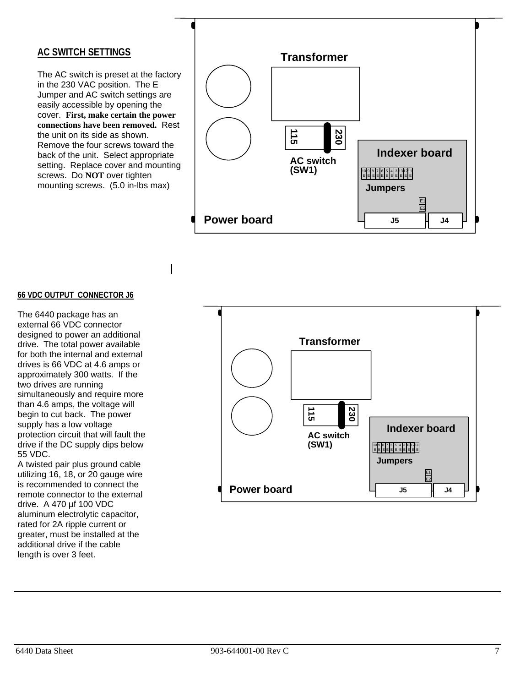### **AC SWITCH SETTINGS**

The AC switch is preset at the factory in the 230 VAC position. The E Jumper and AC switch settings are easily accessible by opening the cover. **First, make certain the power connections have been removed.** Rest the unit on its side as shown. Remove the four screws toward the back of the unit. Select appropriate setting. Replace cover and mounting screws. Do **NOT** over tighten mounting screws. (5.0 in-lbs max)



#### **66 VDC OUTPUT CONNECTOR J6**

The 6440 package has an external 66 VDC connector designed to power an additional drive. The total power available for both the internal and external drives is 66 VDC at 4.6 amps or approximately 300 watts. If the two drives are running simultaneously and require more than 4.6 amps, the voltage will begin to cut back. The power supply has a low voltage protection circuit that will fault the drive if the DC supply dips below 55 VDC.

A twisted pair plus ground cable utilizing 16, 18, or 20 gauge wire is recommended to connect the remote connector to the external drive. A 470 µf 100 VDC aluminum electrolytic capacitor, rated for 2A ripple current or greater, must be installed at the additional drive if the cable length is over 3 feet.

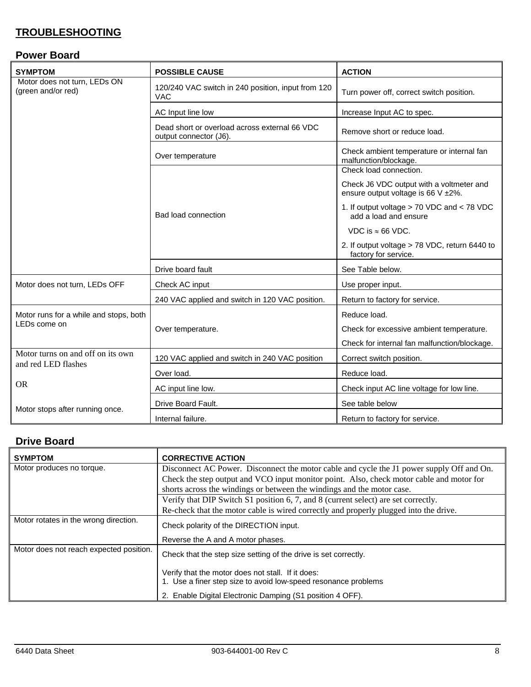# **TROUBLESHOOTING**

# **Power Board**

| <b>SYMPTOM</b>                                                        | <b>POSSIBLE CAUSE</b>                                                   | <b>ACTION</b>                                                                  |
|-----------------------------------------------------------------------|-------------------------------------------------------------------------|--------------------------------------------------------------------------------|
| Motor does not turn, LEDs ON<br>(green and/or red)                    | 120/240 VAC switch in 240 position, input from 120<br><b>VAC</b>        | Turn power off, correct switch position.                                       |
|                                                                       | AC Input line low                                                       | Increase Input AC to spec.                                                     |
|                                                                       | Dead short or overload across external 66 VDC<br>output connector (J6). | Remove short or reduce load.                                                   |
|                                                                       | Over temperature                                                        | Check ambient temperature or internal fan<br>malfunction/blockage.             |
|                                                                       |                                                                         | Check load connection.                                                         |
|                                                                       |                                                                         | Check J6 VDC output with a voltmeter and<br>ensure output voltage is 66 V ±2%. |
|                                                                       | <b>Bad load connection</b>                                              | 1. If output voltage > 70 VDC and < 78 VDC<br>add a load and ensure            |
|                                                                       |                                                                         | VDC is $\approx$ 66 VDC.                                                       |
|                                                                       |                                                                         | 2. If output voltage > 78 VDC, return 6440 to<br>factory for service.          |
|                                                                       | Drive board fault                                                       | See Table below.                                                               |
| Motor does not turn, LEDs OFF                                         | Check AC input                                                          | Use proper input.                                                              |
|                                                                       | 240 VAC applied and switch in 120 VAC position.                         | Return to factory for service.                                                 |
| Motor runs for a while and stops, both<br>LEDs come on                |                                                                         | Reduce load.                                                                   |
|                                                                       | Over temperature.                                                       | Check for excessive ambient temperature.                                       |
|                                                                       |                                                                         | Check for internal fan malfunction/blockage.                                   |
| Motor turns on and off on its own<br>and red LED flashes<br><b>OR</b> | 120 VAC applied and switch in 240 VAC position                          | Correct switch position.                                                       |
|                                                                       | Over load.                                                              | Reduce load.                                                                   |
|                                                                       | AC input line low.                                                      | Check input AC line voltage for low line.                                      |
|                                                                       | Drive Board Fault.                                                      | See table below                                                                |
| Motor stops after running once.                                       | Internal failure.                                                       | Return to factory for service.                                                 |

# **Drive Board**

| <b>SYMPTOM</b>                          | <b>CORRECTIVE ACTION</b>                                                                                            |
|-----------------------------------------|---------------------------------------------------------------------------------------------------------------------|
| Motor produces no torque.               | Disconnect AC Power. Disconnect the motor cable and cycle the J1 power supply Off and On.                           |
|                                         | Check the step output and VCO input monitor point. Also, check motor cable and motor for                            |
|                                         | shorts across the windings or between the windings and the motor case.                                              |
|                                         | Verify that DIP Switch S1 position 6, 7, and 8 (current select) are set correctly.                                  |
|                                         | Re-check that the motor cable is wired correctly and properly plugged into the drive.                               |
| Motor rotates in the wrong direction.   | Check polarity of the DIRECTION input.                                                                              |
|                                         | Reverse the A and A motor phases.                                                                                   |
| Motor does not reach expected position. | Check that the step size setting of the drive is set correctly.                                                     |
|                                         | Verify that the motor does not stall. If it does:<br>1. Use a finer step size to avoid low-speed resonance problems |
|                                         | 2. Enable Digital Electronic Damping (S1 position 4 OFF).                                                           |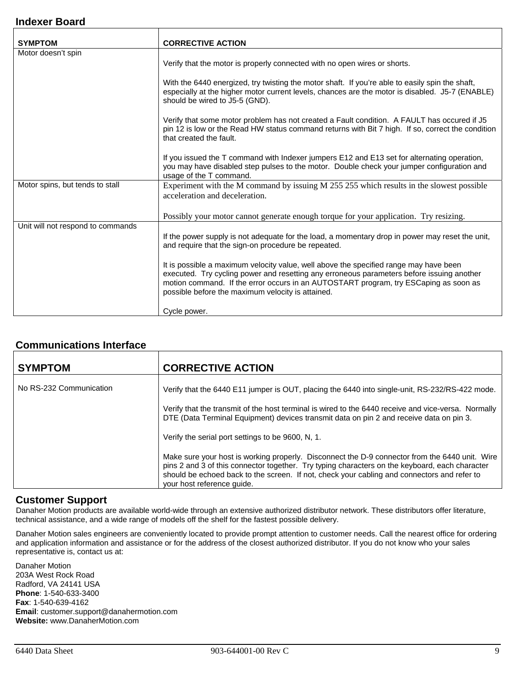### **Indexer Board**

| <b>SYMPTOM</b>                    | <b>CORRECTIVE ACTION</b>                                                                                                                                                                                                                                                                                                        |
|-----------------------------------|---------------------------------------------------------------------------------------------------------------------------------------------------------------------------------------------------------------------------------------------------------------------------------------------------------------------------------|
| Motor doesn't spin                |                                                                                                                                                                                                                                                                                                                                 |
|                                   | Verify that the motor is properly connected with no open wires or shorts.                                                                                                                                                                                                                                                       |
|                                   | With the 6440 energized, try twisting the motor shaft. If you're able to easily spin the shaft,<br>especially at the higher motor current levels, chances are the motor is disabled. J5-7 (ENABLE)<br>should be wired to J5-5 (GND).                                                                                            |
|                                   | Verify that some motor problem has not created a Fault condition. A FAULT has occured if J5<br>pin 12 is low or the Read HW status command returns with Bit 7 high. If so, correct the condition<br>that created the fault.                                                                                                     |
|                                   | If you issued the T command with Indexer jumpers E12 and E13 set for alternating operation,<br>you may have disabled step pulses to the motor. Double check your jumper configuration and<br>usage of the T command.                                                                                                            |
| Motor spins, but tends to stall   | Experiment with the M command by issuing M 255 255 which results in the slowest possible<br>acceleration and deceleration.                                                                                                                                                                                                      |
|                                   | Possibly your motor cannot generate enough torque for your application. Try resizing.                                                                                                                                                                                                                                           |
| Unit will not respond to commands | If the power supply is not adequate for the load, a momentary drop in power may reset the unit,<br>and require that the sign-on procedure be repeated.                                                                                                                                                                          |
|                                   | It is possible a maximum velocity value, well above the specified range may have been<br>executed. Try cycling power and resetting any erroneous parameters before issuing another<br>motion command. If the error occurs in an AUTOSTART program, try ESCaping as soon as<br>possible before the maximum velocity is attained. |
|                                   | Cycle power.                                                                                                                                                                                                                                                                                                                    |

### **Communications Interface**

| <b>SYMPTOM</b>          | <b>CORRECTIVE ACTION</b>                                                                                                                                                                                                                                                                                                      |
|-------------------------|-------------------------------------------------------------------------------------------------------------------------------------------------------------------------------------------------------------------------------------------------------------------------------------------------------------------------------|
| No RS-232 Communication | Verify that the 6440 E11 jumper is OUT, placing the 6440 into single-unit, RS-232/RS-422 mode.                                                                                                                                                                                                                                |
|                         | Verify that the transmit of the host terminal is wired to the 6440 receive and vice-versa. Normally<br>DTE (Data Terminal Equipment) devices transmit data on pin 2 and receive data on pin 3.                                                                                                                                |
|                         | Verify the serial port settings to be 9600, N, 1.                                                                                                                                                                                                                                                                             |
|                         | Make sure your host is working properly. Disconnect the D-9 connector from the 6440 unit. Wire<br>pins 2 and 3 of this connector together. Try typing characters on the keyboard, each character<br>should be echoed back to the screen. If not, check your cabling and connectors and refer to<br>your host reference quide. |

### **Customer Support**

Danaher Motion products are available world-wide through an extensive authorized distributor network. These distributors offer literature, technical assistance, and a wide range of models off the shelf for the fastest possible delivery.

Danaher Motion sales engineers are conveniently located to provide prompt attention to customer needs. Call the nearest office for ordering and application information and assistance or for the address of the closest authorized distributor. If you do not know who your sales representative is, contact us at:

Danaher Motion 203A West Rock Road Radford, VA 24141 USA **Phone**: 1-540-633-3400 **Fax**: 1-540-639-4162 **Email**: customer.support@danahermotion.com **Website:** www.DanaherMotion.com